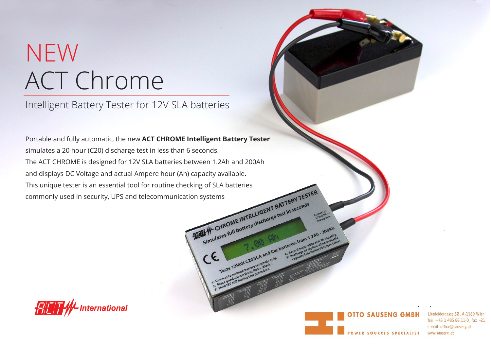## ACT Chrome NEW

Intelligent Battery Tester for 12V SLA batteries

Portable and fully automatic, the new **ACT CHROME Intelligent Battery Tester** simulates a 20 hour (C20) discharge test in less than 6 seconds. The ACT CHROME is designed for 12V SLA batteries between 1.2Ah and 200Ah and displays DC Voltage and actual Ampere hour (Ah) capacity available. This unique tester is an essential tool for routine checking of SLA batteries<br>commonly used in security, UPS and telecommunication systems commonly used in security, UPS and telecommunication systems<br>
ELIGENT BATTERY TEST In seconds





Tests 12Volt COStA and Car batteries from 1.2Ah . 2008

 $c_{\epsilon}$ 

fon  $+43$  1 485 86 11-0, fax -21 e-mail office@sauseng.at www.sauseng.at